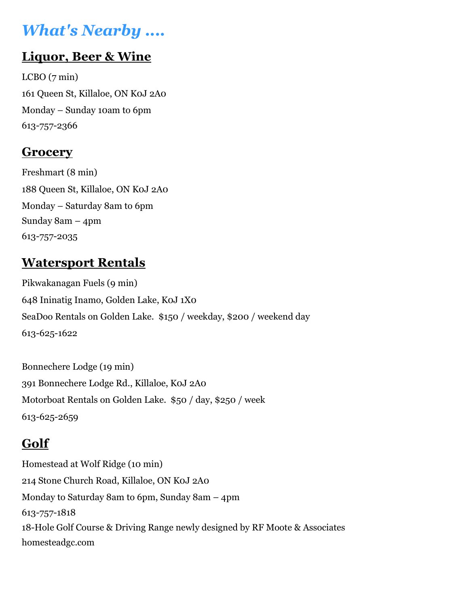# What's Nearby ....

### Liquor, Beer & Wine

 $LCBO(7 \text{ min})$ 161 Queen St, Killaloe, ON K0J 2A0 Monday – Sunday 10am to 6pm 613-757-2366

#### **Grocery**

Freshmart (8 min) 188 Queen St, Killaloe, ON K0J 2A0 Monday – Saturday 8am to 6pm Sunday 8am – 4pm 613-757-2035

### Watersport Rentals

Pikwakanagan Fuels (9 min) 648 Ininatig Inamo, Golden Lake, K0J 1X0 SeaDoo Rentals on Golden Lake. \$150 / weekday, \$200 / weekend day 613-625-1622

Bonnechere Lodge (19 min) 391 Bonnechere Lodge Rd., Killaloe, K0J 2A0 Motorboat Rentals on Golden Lake. \$50 / day, \$250 / week 613-625-2659

### Golf

Homestead at Wolf Ridge (10 min) 214 Stone Church Road, Killaloe, ON K0J 2A0 Monday to Saturday 8am to 6pm, Sunday 8am – 4pm 613-757-1818 18-Hole Golf Course & Driving Range newly designed by RF Moote & Associates homesteadgc.com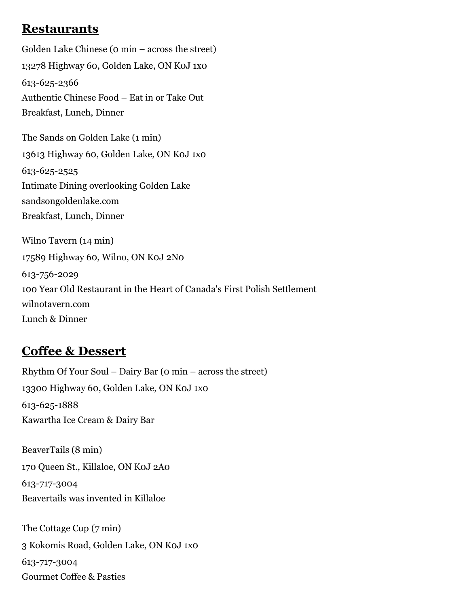#### **Restaurants**

Golden Lake Chinese (0 min – across the street) 13278 Highway 60, Golden Lake, ON K0J 1x0 613-625-2366 Authentic Chinese Food – Eat in or Take Out Breakfast, Lunch, Dinner

The Sands on Golden Lake (1 min) 13613 Highway 60, Golden Lake, ON K0J 1x0 613-625-2525 Intimate Dining overlooking Golden Lake sandsongoldenlake.com Breakfast, Lunch, Dinner

Wilno Tavern (14 min) 17589 Highway 60, Wilno, ON K0J 2N0 613-756-2029 100 Year Old Restaurant in the Heart of Canada's First Polish Settlement wilnotavern.com Lunch & Dinner

#### Coffee & Dessert

Rhythm Of Your Soul – Dairy Bar (0 min – across the street) 13300 Highway 60, Golden Lake, ON K0J 1x0 613-625-1888 Kawartha Ice Cream & Dairy Bar

BeaverTails (8 min) 170 Queen St., Killaloe, ON K0J 2A0 613-717-3004 Beavertails was invented in Killaloe

The Cottage Cup (7 min) 3 Kokomis Road, Golden Lake, ON K0J 1x0 613-717-3004 Gourmet Coffee & Pasties